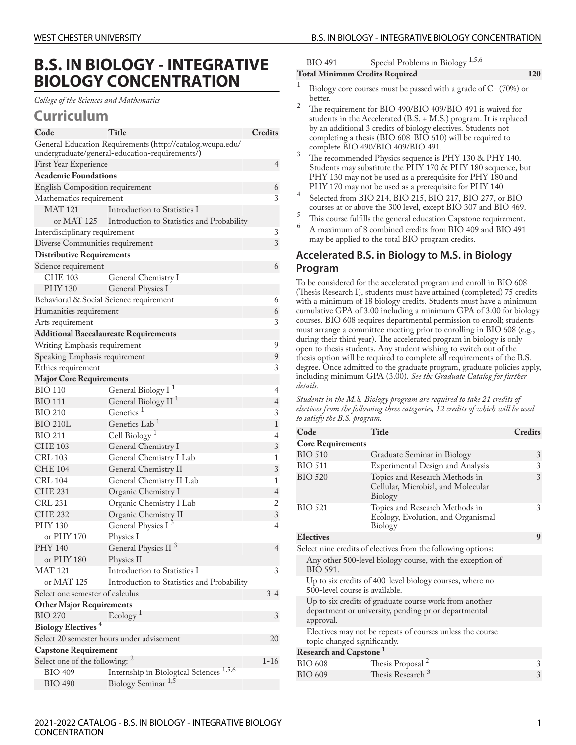# **B.S. IN BIOLOGY - INTEGRATIVE BIOLOGY CONCENTRATION**

*College of the Sciences and Mathematics*

## **Curriculum**

| Code                                                                                                        | Title                                              | Credits                  |  |
|-------------------------------------------------------------------------------------------------------------|----------------------------------------------------|--------------------------|--|
| General Education Requirements (http://catalog.wcupa.edu/<br>undergraduate/general-education-requirements/) |                                                    |                          |  |
| First Year Experience                                                                                       |                                                    | 4                        |  |
| <b>Academic Foundations</b>                                                                                 |                                                    |                          |  |
| English Composition requirement                                                                             |                                                    | 6                        |  |
| Mathematics requirement                                                                                     |                                                    | 3                        |  |
| <b>MAT 121</b>                                                                                              | Introduction to Statistics I                       |                          |  |
| or MAT 125                                                                                                  | Introduction to Statistics and Probability         |                          |  |
| Interdisciplinary requirement                                                                               |                                                    | 3                        |  |
| Diverse Communities requirement                                                                             |                                                    | $\mathfrak{Z}$           |  |
| <b>Distributive Requirements</b>                                                                            |                                                    |                          |  |
| Science requirement                                                                                         |                                                    | 6                        |  |
| CHE 103                                                                                                     | General Chemistry I                                |                          |  |
| PHY 130                                                                                                     | General Physics I                                  |                          |  |
| Behavioral & Social Science requirement                                                                     |                                                    | 6                        |  |
| Humanities requirement                                                                                      |                                                    | 6                        |  |
| Arts requirement                                                                                            |                                                    | 3                        |  |
|                                                                                                             | <b>Additional Baccalaureate Requirements</b>       |                          |  |
| Writing Emphasis requirement                                                                                |                                                    | 9                        |  |
| Speaking Emphasis requirement                                                                               |                                                    | 9                        |  |
| Ethics requirement                                                                                          |                                                    | 3                        |  |
| <b>Major Core Requirements</b>                                                                              |                                                    |                          |  |
| BIO 110                                                                                                     | General Biology I <sup>1</sup>                     | 4                        |  |
| <b>BIO 111</b>                                                                                              | General Biology II <sup>1</sup>                    | 4                        |  |
| <b>BIO 210</b>                                                                                              | Genetics <sup>1</sup>                              | $\mathfrak{Z}$           |  |
| <b>BIO 210L</b>                                                                                             | Genetics Lab <sup>1</sup>                          | $\mathbf{1}$             |  |
| BIO 211                                                                                                     | Cell Biology <sup>1</sup>                          | $\overline{4}$           |  |
| <b>CHE 103</b>                                                                                              | General Chemistry I                                | 3                        |  |
| CRL 103                                                                                                     | General Chemistry I Lab                            | 1                        |  |
| <b>CHE 104</b>                                                                                              | General Chemistry II                               | 3                        |  |
| CRL 104                                                                                                     | General Chemistry II Lab                           | 1                        |  |
| <b>CHE 231</b>                                                                                              | Organic Chemistry I                                | 4                        |  |
| CRL 231                                                                                                     | Organic Chemistry I Lab                            | 2                        |  |
| <b>CHE 232</b>                                                                                              | Organic Chemistry II                               | $\mathfrak{Z}$           |  |
| PHY 130                                                                                                     | General Physics I <sup>3</sup>                     | $\overline{\mathcal{A}}$ |  |
| or PHY 170                                                                                                  | Physics I                                          |                          |  |
| PHY 140                                                                                                     | General Physics II <sup>3</sup>                    | $\overline{4}$           |  |
| or PHY 180                                                                                                  | Physics II                                         |                          |  |
| <b>MAT 121</b>                                                                                              | Introduction to Statistics I                       | 3                        |  |
| or MAT 125                                                                                                  | Introduction to Statistics and Probability         |                          |  |
| Select one semester of calculus                                                                             |                                                    | $3 - 4$                  |  |
| <b>Other Major Requirements</b>                                                                             |                                                    |                          |  |
| <b>BIO 270</b>                                                                                              | Ecology <sup>1</sup>                               | 3                        |  |
| <b>Biology Electives<sup>4</sup></b>                                                                        |                                                    |                          |  |
| Select 20 semester hours under advisement<br>20                                                             |                                                    |                          |  |
| <b>Capstone Requirement</b>                                                                                 |                                                    |                          |  |
| Select one of the following: <sup>2</sup>                                                                   |                                                    |                          |  |
| <b>BIO 409</b>                                                                                              | Internship in Biological Sciences <sup>1,5,6</sup> |                          |  |
| <b>BIO 490</b>                                                                                              | Biology Seminar <sup>1,5</sup>                     |                          |  |

BIO 491 Special Problems in Biology<sup> 1,5,6</sup>

#### **Total Minimum Credits Required 120**

- 1 Biology core courses must be passed with a grade of C- (70%) or better.
- <sup>2</sup> The requirement for BIO 490/BIO 409/BIO 491 is waived for students in the Accelerated (B.S. + M.S.) program. It is replaced by an additional 3 credits of biology electives. Students not completing a thesis (BIO 608-BIO 610) will be required to complete BIO 490/BIO 409/BIO 491.
- $\frac{3}{10}$  The recommended Physics sequence is PHY 130 & PHY 140. Students may substitute the PHY 170 & PHY 180 sequence, but PHY 130 may not be used as a prerequisite for PHY 180 and PHY 170 may not be used as a prerequisite for PHY 140.
- 4 Selected from BIO 214, BIO 215, BIO 217, BIO 277, or BIO courses at or above the 300 level, except BIO 307 and BIO 469.
- <sup>5</sup> This course fulfills the general education Capstone requirement.<br> $\frac{6}{\sqrt{10}}$  A meeting of  $\frac{6}{\sqrt{10}}$  coulting level in Fig. 600, FIQ 400 and FIQ 404.
- <sup>6</sup> A maximum of 8 combined credits from BIO 409 and BIO 491 may be applied to the total BIO program credits.

## **Accelerated B.S. in Biology to M.S. in Biology Program**

To be considered for the accelerated program and enroll in BIO 608 (Thesis Research I), students must have attained (completed) 75 credits with a minimum of 18 biology credits. Students must have a minimum cumulative GPA of 3.00 including a minimum GPA of 3.00 for biology courses. BIO 608 requires departmental permission to enroll; students must arrange a committee meeting prior to enrolling in BIO 608 (e.g., during their third year). The accelerated program in biology is only open to thesis students. Any student wishing to switch out of the thesis option will be required to complete all requirements of the B.S. degree. Once admitted to the graduate program, graduate policies apply, including minimum GPA (3.00). *See the Graduate Catalog for further details.*

*Students in the M.S. Biology program are required to take 21 credits of electives from the following three categories, 12 credits of which will be used to satisfy the B.S. program.*

| Code                                                         | Title                                                                                                          | Credits |
|--------------------------------------------------------------|----------------------------------------------------------------------------------------------------------------|---------|
| <b>Core Requirements</b>                                     |                                                                                                                |         |
| <b>BIO 510</b>                                               | Graduate Seminar in Biology                                                                                    | 3       |
| <b>BIO 511</b>                                               | Experimental Design and Analysis                                                                               | 3       |
| <b>BIO 520</b>                                               | Topics and Research Methods in<br>Cellular, Microbial, and Molecular<br>Biology                                | 3       |
| <b>BIO 521</b>                                               | Topics and Research Methods in<br>Ecology, Evolution, and Organismal<br>Biology                                | 3       |
| <b>Electives</b>                                             |                                                                                                                | 9       |
| Select nine credits of electives from the following options: |                                                                                                                |         |
| BIO 591.                                                     | Any other 500-level biology course, with the exception of                                                      |         |
| 500-level course is available.                               | Up to six credits of 400-level biology courses, where no                                                       |         |
| approval.                                                    | Up to six credits of graduate course work from another<br>department or university, pending prior departmental |         |
| topic changed significantly.                                 | Electives may not be repeats of courses unless the course                                                      |         |
| Research and Capstone <sup>1</sup>                           |                                                                                                                |         |
| <b>BIO 608</b>                                               | Thesis Proposal <sup>2</sup>                                                                                   | 3       |
| <b>BIO 609</b>                                               | Thesis Research <sup>3</sup>                                                                                   | 3       |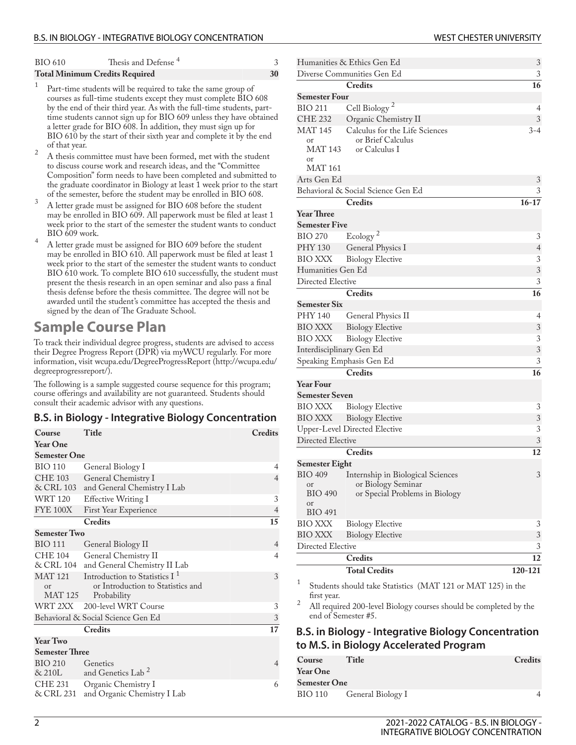| BIO 610 | Thesis and Defense <sup>4</sup>       |    |
|---------|---------------------------------------|----|
|         | <b>Total Minimum Credits Required</b> | 30 |

- 1 Part-time students will be required to take the same group of courses as full-time students except they must complete BIO 608 by the end of their third year. As with the full-time students, parttime students cannot sign up for BIO 609 unless they have obtained a letter grade for BIO 608. In addition, they must sign up for BIO 610 by the start of their sixth year and complete it by the end of that year.
- <sup>2</sup> A thesis committee must have been formed, met with the student to discuss course work and research ideas, and the "Committee Composition" form needs to have been completed and submitted to the graduate coordinator in Biology at least 1 week prior to the start of the semester, before the student may be enrolled in BIO 608.
- <sup>3</sup> A letter grade must be assigned for BIO 608 before the student may be enrolled in BIO 609. All paperwork must be filed at least 1 week prior to the start of the semester the student wants to conduct BIO 609 work.
- <sup>4</sup> A letter grade must be assigned for BIO 609 before the student may be enrolled in BIO 610. All paperwork must be filed at least 1 week prior to the start of the semester the student wants to conduct BIO 610 work. To complete BIO 610 successfully, the student must present the thesis research in an open seminar and also pass a final thesis defense before the thesis committee. The degree will not be awarded until the student's committee has accepted the thesis and signed by the dean of The Graduate School.

# **Sample Course Plan**

To track their individual degree progress, students are advised to access their Degree Progress Report (DPR) via myWCU regularly. For more information, visit [wcupa.edu/DegreeProgressReport \(http://wcupa.edu/](http://wcupa.edu/degreeprogressreport/) [degreeprogressreport/](http://wcupa.edu/degreeprogressreport/)).

The following is a sample suggested course sequence for this program; course offerings and availability are not guaranteed. Students should consult their academic advisor with any questions.

### **B.S. in Biology - Integrative Biology Concentration**

| Course<br><b>Year One</b>                  | Title                                                                                         | <b>Credits</b> |
|--------------------------------------------|-----------------------------------------------------------------------------------------------|----------------|
| <b>Semester One</b>                        |                                                                                               |                |
| <b>BIO 110</b>                             | General Biology I                                                                             | 4              |
| <b>CHE 103</b><br>& CRL 103                | General Chemistry I<br>and General Chemistry I Lab                                            | $\overline{4}$ |
| <b>WRT 120</b>                             | <b>Effective Writing I</b>                                                                    | 3              |
| <b>FYE 100X</b>                            | First Year Experience                                                                         | $\overline{4}$ |
|                                            | <b>Credits</b>                                                                                | 15             |
| <b>Semester Two</b>                        |                                                                                               |                |
| <b>BIO 111</b>                             | General Biology II                                                                            | $\overline{4}$ |
| <b>CHE 104</b><br>& CRL 104                | General Chemistry II<br>and General Chemistry II Lab                                          | $\overline{4}$ |
| <b>MAT 121</b><br><sub>or</sub><br>MAT 125 | Introduction to Statistics I <sup>1</sup><br>or Introduction to Statistics and<br>Probability | 3              |
| WRT 2XX                                    | 200-level WRT Course                                                                          | 3              |
|                                            | Behavioral & Social Science Gen Ed                                                            | 3              |
|                                            | <b>Credits</b>                                                                                | 17             |
| <b>Year Two</b>                            |                                                                                               |                |
| <b>Semester Three</b>                      |                                                                                               |                |
| <b>BIO 210</b><br>&210L                    | Genetics<br>and Genetics Lab <sup>2</sup>                                                     | $\overline{4}$ |
| <b>CHE 231</b><br>& CRL 231                | Organic Chemistry I<br>and Organic Chemistry I Lab                                            | 6              |

| Humanities & Ethics Gen Ed<br>Diverse Communities Gen Ed | 3<br>3                                       |                     |
|----------------------------------------------------------|----------------------------------------------|---------------------|
|                                                          | Credits                                      | 16                  |
| <b>Semester Four</b>                                     |                                              |                     |
| <b>BIO 211</b>                                           | Cell Biology <sup>2</sup>                    | 4                   |
| <b>CHE 232</b>                                           | Organic Chemistry II                         | 3                   |
| MAT 145                                                  | Calculus for the Life Sciences               | $3 - 4$             |
| or                                                       | or Brief Calculus                            |                     |
| MAT 143                                                  | or Calculus I                                |                     |
| <sub>or</sub>                                            |                                              |                     |
| MAT 161                                                  |                                              |                     |
| Arts Gen Ed                                              |                                              | 3                   |
|                                                          | Behavioral & Social Science Gen Ed           | 3                   |
|                                                          | <b>Credits</b>                               | 16-17               |
| Year Three                                               |                                              |                     |
| <b>Semester Five</b><br>BIO 270                          |                                              |                     |
| <b>PHY 130</b>                                           | Ecology <sup>2</sup>                         | 3<br>$\overline{4}$ |
| <b>BIO XXX</b>                                           | General Physics I<br><b>Biology Elective</b> | 3                   |
| Humanities Gen Ed                                        |                                              | 3                   |
| Directed Elective                                        |                                              | 3                   |
|                                                          | <b>Credits</b>                               | $\overline{16}$     |
| <b>Semester Six</b>                                      |                                              |                     |
| PHY 140                                                  | General Physics II                           | 4                   |
| <b>BIO XXX</b>                                           | <b>Biology Elective</b>                      | 3                   |
| <b>BIO XXX</b>                                           | <b>Biology Elective</b>                      | 3                   |
| Interdisciplinary Gen Ed                                 |                                              | 3                   |
| Speaking Emphasis Gen Ed                                 | 3                                            |                     |
|                                                          | Credits                                      | 16                  |
| <b>Year Four</b>                                         |                                              |                     |
| Semester Seven                                           |                                              |                     |
| BIO XXX                                                  | <b>Biology Elective</b>                      | 3                   |
| <b>BIO XXX</b>                                           | <b>Biology Elective</b>                      | 3                   |
|                                                          | <b>Upper-Level Directed Elective</b>         | 3                   |
| Directed Elective                                        |                                              | 3                   |
|                                                          | <b>Credits</b>                               | 12                  |
| <b>Semester Eight</b>                                    |                                              |                     |
| <b>BIO 409</b>                                           | Internship in Biological Sciences            | 3                   |
| or<br><b>BIO 490</b>                                     | or Biology Seminar                           |                     |
| or                                                       | or Special Problems in Biology               |                     |
| <b>BIO 491</b>                                           |                                              |                     |
| BIO XXX                                                  | <b>Biology Elective</b>                      | 3                   |
| <b>BIO XXX</b>                                           | <b>Biology Elective</b>                      | 3                   |
| Directed Elective                                        |                                              | 3                   |
|                                                          | Credits                                      | 12                  |
|                                                          | <b>Total Credits</b>                         | 120-121             |
|                                                          |                                              |                     |

1 Students should take Statistics (MAT 121 or MAT 125) in the first year.

<sup>2</sup> All required 200-level Biology courses should be completed by the end of Semester #5.

## **B.S. in Biology - Integrative Biology Concentration to M.S. in Biology Accelerated Program**

| Course              | Title             | Credits |
|---------------------|-------------------|---------|
| <b>Year One</b>     |                   |         |
| <b>Semester One</b> |                   |         |
| BIO 110             | General Biology I |         |